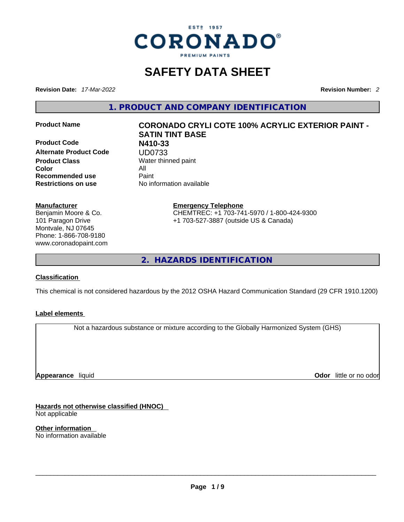

# **SAFETY DATA SHEET**

**Revision Date:** *17-Mar-2022* **Revision Number:** *2*

**1. PRODUCT AND COMPANY IDENTIFICATION** 

**Product Name CORONADO CRYLI COTE 100% ACRYLIC EXTERIOR PAINT -** 

**Product Code N410-33 Alternate Product Code UD0733**<br>Product Class Water thin **Color** All **Recommended use** Paint **Restrictions on use** No information available

# **SATIN TINT BASE Water thinned paint**

**Manufacturer** Benjamin Moore & Co. 101 Paragon Drive Montvale, NJ 07645 Phone: 1-866-708-9180 www.coronadopaint.com **Emergency Telephone** CHEMTREC: +1 703-741-5970 / 1-800-424-9300 +1 703-527-3887 (outside US & Canada)

**2. HAZARDS IDENTIFICATION** 

#### **Classification**

This chemical is not considered hazardous by the 2012 OSHA Hazard Communication Standard (29 CFR 1910.1200)

#### **Label elements**

Not a hazardous substance or mixture according to the Globally Harmonized System (GHS)

**Appearance** liquid

**Odor** little or no odor

**Hazards not otherwise classified (HNOC)**  Not applicable

**Other information**  No information available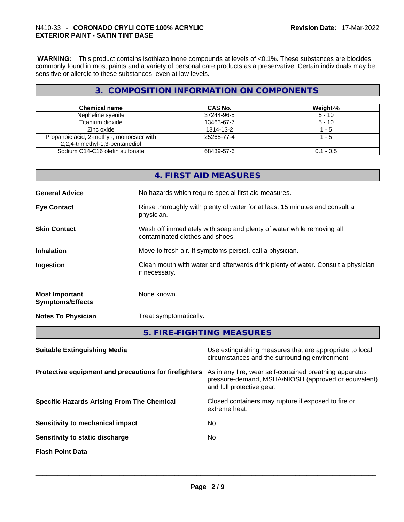**WARNING:** This product contains isothiazolinone compounds at levels of <0.1%. These substances are biocides commonly found in most paints and a variety of personal care products as a preservative. Certain individuals may be sensitive or allergic to these substances, even at low levels.

# **3. COMPOSITION INFORMATION ON COMPONENTS**

| <b>Chemical name</b>                      | CAS No.    | Weight-%    |
|-------------------------------------------|------------|-------------|
| Nepheline syenite                         | 37244-96-5 | $5 - 10$    |
| Titanium dioxide                          | 13463-67-7 | $5 - 10$    |
| Zinc oxide                                | 1314-13-2  | 1 - 5       |
| Propanoic acid, 2-methyl-, monoester with | 25265-77-4 | $1 - 5$     |
| 2,2,4-trimethyl-1,3-pentanediol           |            |             |
| Sodium C14-C16 olefin sulfonate           | 68439-57-6 | $0.1 - 0.5$ |

|                                                  | 4. FIRST AID MEASURES                                                                                    |
|--------------------------------------------------|----------------------------------------------------------------------------------------------------------|
| <b>General Advice</b>                            | No hazards which require special first aid measures.                                                     |
| <b>Eye Contact</b>                               | Rinse thoroughly with plenty of water for at least 15 minutes and consult a<br>physician.                |
| <b>Skin Contact</b>                              | Wash off immediately with soap and plenty of water while removing all<br>contaminated clothes and shoes. |
| <b>Inhalation</b>                                | Move to fresh air. If symptoms persist, call a physician.                                                |
| Ingestion                                        | Clean mouth with water and afterwards drink plenty of water. Consult a physician<br>if necessary.        |
| <b>Most Important</b><br><b>Symptoms/Effects</b> | None known.                                                                                              |
| <b>Notes To Physician</b>                        | Treat symptomatically.                                                                                   |
|                                                  | 5. FIRE-FIGHTING MEASURES                                                                                |

| As in any fire, wear self-contained breathing apparatus<br>pressure-demand, MSHA/NIOSH (approved or equivalent)<br>and full protective gear.<br>Closed containers may rupture if exposed to fire or<br>extreme heat.<br>No.<br>No. | <b>Suitable Extinguishing Media</b>                   | Use extinguishing measures that are appropriate to local<br>circumstances and the surrounding environment. |
|------------------------------------------------------------------------------------------------------------------------------------------------------------------------------------------------------------------------------------|-------------------------------------------------------|------------------------------------------------------------------------------------------------------------|
|                                                                                                                                                                                                                                    | Protective equipment and precautions for firefighters |                                                                                                            |
|                                                                                                                                                                                                                                    | <b>Specific Hazards Arising From The Chemical</b>     |                                                                                                            |
|                                                                                                                                                                                                                                    | Sensitivity to mechanical impact                      |                                                                                                            |
|                                                                                                                                                                                                                                    | Sensitivity to static discharge                       |                                                                                                            |
|                                                                                                                                                                                                                                    | <b>Flash Point Data</b>                               |                                                                                                            |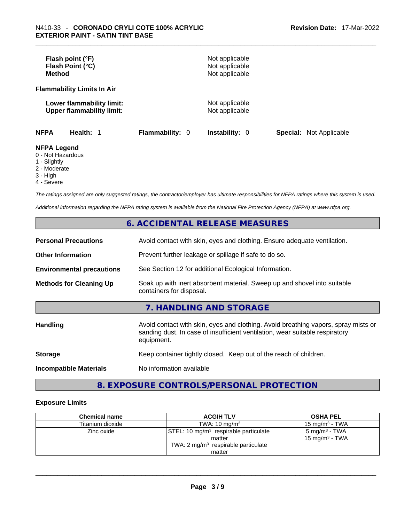| Flash point (°F)<br>Flash Point (°C)<br><b>Method</b>         |                        | Not applicable<br>Not applicable<br>Not applicable |                                |
|---------------------------------------------------------------|------------------------|----------------------------------------------------|--------------------------------|
| <b>Flammability Limits In Air</b>                             |                        |                                                    |                                |
| Lower flammability limit:<br><b>Upper flammability limit:</b> |                        | Not applicable<br>Not applicable                   |                                |
| <b>NFPA</b><br>Health: 1                                      | <b>Flammability: 0</b> | <b>Instability: 0</b>                              | <b>Special: Not Applicable</b> |
| <b>NFPA Legend</b><br>0 - Not Hazardous<br>1 - Slightly       |                        |                                                    |                                |

- 
- 2 Moderate
- 3 High
- 4 Severe

*The ratings assigned are only suggested ratings, the contractor/employer has ultimate responsibilities for NFPA ratings where this system is used.* 

*Additional information regarding the NFPA rating system is available from the National Fire Protection Agency (NFPA) at www.nfpa.org.* 

# **6. ACCIDENTAL RELEASE MEASURES**

| <b>Personal Precautions</b>      | Avoid contact with skin, eyes and clothing. Ensure adequate ventilation.                                                                                                         |  |
|----------------------------------|----------------------------------------------------------------------------------------------------------------------------------------------------------------------------------|--|
| <b>Other Information</b>         | Prevent further leakage or spillage if safe to do so.                                                                                                                            |  |
| <b>Environmental precautions</b> | See Section 12 for additional Ecological Information.                                                                                                                            |  |
| <b>Methods for Cleaning Up</b>   | Soak up with inert absorbent material. Sweep up and shovel into suitable<br>containers for disposal.                                                                             |  |
|                                  | 7. HANDLING AND STORAGE                                                                                                                                                          |  |
| <b>Handling</b>                  | Avoid contact with skin, eyes and clothing. Avoid breathing vapors, spray mists or<br>sanding dust. In case of insufficient ventilation, wear suitable respiratory<br>equipment. |  |
| <b>Storage</b>                   | Keep container tightly closed. Keep out of the reach of children.                                                                                                                |  |
| <b>Incompatible Materials</b>    | No information available                                                                                                                                                         |  |

# **8. EXPOSURE CONTROLS/PERSONAL PROTECTION**

#### **Exposure Limits**

| <b>Chemical name</b> | <b>ACGIH TLV</b>                                                                                                        | <b>OSHA PEL</b>                                |
|----------------------|-------------------------------------------------------------------------------------------------------------------------|------------------------------------------------|
| Titanium dioxide     | TWA: $10 \text{ mg/m}^3$                                                                                                | 15 mg/m $3$ - TWA                              |
| Zinc oxide           | STEL: 10 mg/m <sup>3</sup> respirable particulate<br>matter<br>TWA: $2 \text{ mg/m}^3$ respirable particulate<br>matter | 5 mg/m <sup>3</sup> - TWA<br>15 mg/m $3$ - TWA |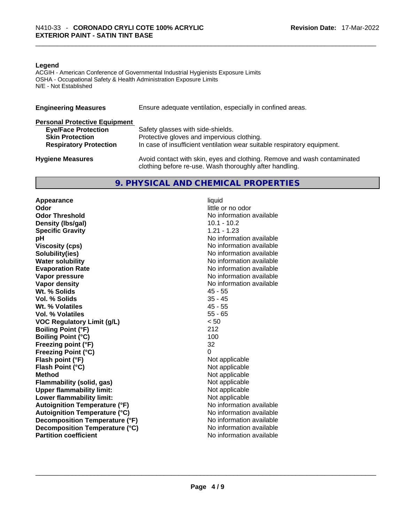#### **Legend**

ACGIH - American Conference of Governmental Industrial Hygienists Exposure Limits OSHA - Occupational Safety & Health Administration Exposure Limits N/E - Not Established

| <b>Engineering Measures</b>          | Ensure adequate ventilation, especially in confined areas.                                                                          |  |  |
|--------------------------------------|-------------------------------------------------------------------------------------------------------------------------------------|--|--|
| <b>Personal Protective Equipment</b> |                                                                                                                                     |  |  |
| <b>Eye/Face Protection</b>           | Safety glasses with side-shields.                                                                                                   |  |  |
| <b>Skin Protection</b>               | Protective gloves and impervious clothing.                                                                                          |  |  |
| <b>Respiratory Protection</b>        | In case of insufficient ventilation wear suitable respiratory equipment.                                                            |  |  |
| <b>Hygiene Measures</b>              | Avoid contact with skin, eyes and clothing. Remove and wash contaminated<br>clothing before re-use. Wash thoroughly after handling. |  |  |

## **9. PHYSICAL AND CHEMICAL PROPERTIES**

**Appearance** liquid **Odor Odor Odor Odor Odor Odor** *little* **or no odor</u> <b>***little* or no odor **Odor Threshold No information available** No information available **Density (lbs/gal)** 10.1 - 10.2 **Specific Gravity** 1.21 - 1.23 **pH bH** *pH* **Viscosity (cps) Viscosity (cps) No information available Solubility(ies)**<br> **Solubility**<br> **Water solubility**<br> **Water solubility Evaporation Rate No information available No information available Vapor pressure**  No information available **Vapor pressure No information available Vapor density No information available No information available Wt. % Solids** 45 - 55 **Vol. % Solids Wt. % Volatiles** 45 - 55 **Vol. % Volatiles** 55 - 65 **VOC Regulatory Limit (g/L)** < 50 **Boiling Point (°F)** 212 **Boiling Point (°C) Freezing point (°F)** 32 **Freezing Point (°C)** 0 **Flash point (°F)** Not applicable **Flash Point (°C)** Not applicable **Method**<br> **Plammability (solid, gas)**<br> **Not applicable**<br>
Not applicable **Flammability** (solid, gas) **Upper flammability limit:** Not applicable **Lower flammability limit:** Not applicable **Autoignition Temperature (°F)** No information available **Autoignition Temperature (°C)**<br> **Decomposition Temperature (°F)** No information available **Decomposition Temperature (°F) Decomposition Temperature (°C)** No information available **Partition coefficient**No information available \_\_\_\_\_\_\_\_\_\_\_\_\_\_\_\_\_\_\_\_\_\_\_\_\_\_\_\_\_\_\_\_\_\_\_\_\_\_\_\_\_\_\_\_\_\_\_\_\_\_\_\_\_\_\_\_\_\_\_\_\_\_\_\_\_\_\_\_\_\_\_\_\_\_\_\_\_\_\_\_\_\_\_\_\_\_\_\_\_\_\_\_\_

**No information available**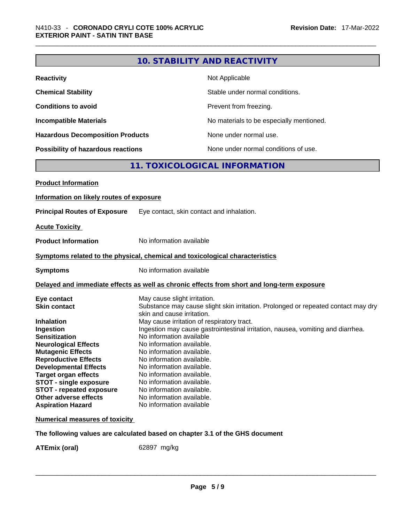|                                                                                                                                                                                                                                                                                                                                                                                       | <b>10. STABILITY AND REACTIVITY</b>                                                                                                                                                                                                                                                                                                                                                                                                                                                                                                                                              |
|---------------------------------------------------------------------------------------------------------------------------------------------------------------------------------------------------------------------------------------------------------------------------------------------------------------------------------------------------------------------------------------|----------------------------------------------------------------------------------------------------------------------------------------------------------------------------------------------------------------------------------------------------------------------------------------------------------------------------------------------------------------------------------------------------------------------------------------------------------------------------------------------------------------------------------------------------------------------------------|
| <b>Reactivity</b>                                                                                                                                                                                                                                                                                                                                                                     | Not Applicable                                                                                                                                                                                                                                                                                                                                                                                                                                                                                                                                                                   |
| <b>Chemical Stability</b>                                                                                                                                                                                                                                                                                                                                                             | Stable under normal conditions.                                                                                                                                                                                                                                                                                                                                                                                                                                                                                                                                                  |
| <b>Conditions to avoid</b>                                                                                                                                                                                                                                                                                                                                                            | Prevent from freezing.                                                                                                                                                                                                                                                                                                                                                                                                                                                                                                                                                           |
| <b>Incompatible Materials</b>                                                                                                                                                                                                                                                                                                                                                         | No materials to be especially mentioned.                                                                                                                                                                                                                                                                                                                                                                                                                                                                                                                                         |
| <b>Hazardous Decomposition Products</b>                                                                                                                                                                                                                                                                                                                                               | None under normal use.                                                                                                                                                                                                                                                                                                                                                                                                                                                                                                                                                           |
| Possibility of hazardous reactions                                                                                                                                                                                                                                                                                                                                                    | None under normal conditions of use.                                                                                                                                                                                                                                                                                                                                                                                                                                                                                                                                             |
|                                                                                                                                                                                                                                                                                                                                                                                       | 11. TOXICOLOGICAL INFORMATION                                                                                                                                                                                                                                                                                                                                                                                                                                                                                                                                                    |
| <b>Product Information</b>                                                                                                                                                                                                                                                                                                                                                            |                                                                                                                                                                                                                                                                                                                                                                                                                                                                                                                                                                                  |
| Information on likely routes of exposure                                                                                                                                                                                                                                                                                                                                              |                                                                                                                                                                                                                                                                                                                                                                                                                                                                                                                                                                                  |
| <b>Principal Routes of Exposure</b>                                                                                                                                                                                                                                                                                                                                                   | Eye contact, skin contact and inhalation.                                                                                                                                                                                                                                                                                                                                                                                                                                                                                                                                        |
| <b>Acute Toxicity</b>                                                                                                                                                                                                                                                                                                                                                                 |                                                                                                                                                                                                                                                                                                                                                                                                                                                                                                                                                                                  |
| <b>Product Information</b>                                                                                                                                                                                                                                                                                                                                                            | No information available                                                                                                                                                                                                                                                                                                                                                                                                                                                                                                                                                         |
|                                                                                                                                                                                                                                                                                                                                                                                       | Symptoms related to the physical, chemical and toxicological characteristics                                                                                                                                                                                                                                                                                                                                                                                                                                                                                                     |
| <b>Symptoms</b>                                                                                                                                                                                                                                                                                                                                                                       | No information available                                                                                                                                                                                                                                                                                                                                                                                                                                                                                                                                                         |
|                                                                                                                                                                                                                                                                                                                                                                                       | Delayed and immediate effects as well as chronic effects from short and long-term exposure                                                                                                                                                                                                                                                                                                                                                                                                                                                                                       |
| Eye contact<br><b>Skin contact</b><br><b>Inhalation</b><br>Ingestion<br><b>Sensitization</b><br><b>Neurological Effects</b><br><b>Mutagenic Effects</b><br><b>Reproductive Effects</b><br><b>Developmental Effects</b><br><b>Target organ effects</b><br><b>STOT - single exposure</b><br><b>STOT - repeated exposure</b><br><b>Other adverse effects</b><br><b>Aspiration Hazard</b> | May cause slight irritation.<br>Substance may cause slight skin irritation. Prolonged or repeated contact may dry<br>skin and cause irritation.<br>May cause irritation of respiratory tract.<br>Ingestion may cause gastrointestinal irritation, nausea, vomiting and diarrhea.<br>No information available<br>No information available.<br>No information available.<br>No information available.<br>No information available.<br>No information available.<br>No information available.<br>No information available.<br>No information available.<br>No information available |
| <b>Numerical measures of toxicity</b>                                                                                                                                                                                                                                                                                                                                                 |                                                                                                                                                                                                                                                                                                                                                                                                                                                                                                                                                                                  |
|                                                                                                                                                                                                                                                                                                                                                                                       | The following values are calculated based on chapter 3.1 of the GHS document                                                                                                                                                                                                                                                                                                                                                                                                                                                                                                     |

**ATEmix (oral)** 62897 mg/kg \_\_\_\_\_\_\_\_\_\_\_\_\_\_\_\_\_\_\_\_\_\_\_\_\_\_\_\_\_\_\_\_\_\_\_\_\_\_\_\_\_\_\_\_\_\_\_\_\_\_\_\_\_\_\_\_\_\_\_\_\_\_\_\_\_\_\_\_\_\_\_\_\_\_\_\_\_\_\_\_\_\_\_\_\_\_\_\_\_\_\_\_\_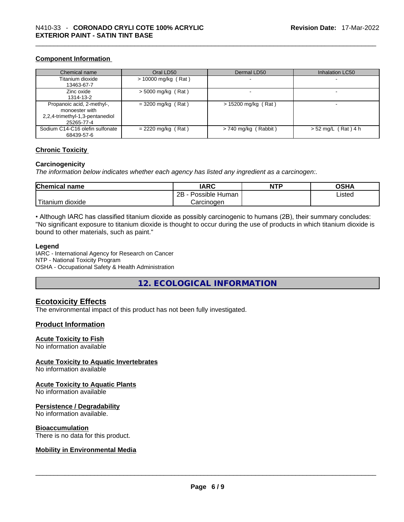#### **Component Information**

| Chemical name                   | Oral LD50             | Dermal LD50              | Inhalation LC50       |
|---------------------------------|-----------------------|--------------------------|-----------------------|
| Titanium dioxide                | $> 10000$ mg/kg (Rat) |                          | -                     |
| 13463-67-7                      |                       |                          |                       |
| Zinc oxide                      | $>$ 5000 mg/kg (Rat)  | $\overline{\phantom{0}}$ | -                     |
| 1314-13-2                       |                       |                          |                       |
| Propanoic acid, 2-methyl-,      | $= 3200$ mg/kg (Rat)  | $> 15200$ mg/kg (Rat)    |                       |
| monoester with                  |                       |                          |                       |
| 2,2,4-trimethyl-1,3-pentanediol |                       |                          |                       |
| 25265-77-4                      |                       |                          |                       |
| Sodium C14-C16 olefin sulfonate | $= 2220$ mg/kg (Rat)  | $> 740$ mg/kg (Rabbit)   | $> 52$ mg/L (Rat) 4 h |
| 68439-57-6                      |                       |                          |                       |

#### **Chronic Toxicity**

#### **Carcinogenicity**

*The information below indicates whether each agency has listed any ingredient as a carcinogen:.* 

| <b>Chemical name</b>       | <b>IARC</b>          | <b>NTP</b> | OSHA   |
|----------------------------|----------------------|------------|--------|
|                            | 2Β<br>Possible Human |            | Listed |
| $-1$<br>dioxide<br>itanium | Carcinogen           |            |        |

• Although IARC has classified titanium dioxide as possibly carcinogenic to humans (2B), their summary concludes: "No significant exposure to titanium dioxide is thought to occur during the use of products in which titanium dioxide is bound to other materials, such as paint."

#### **Legend**

IARC - International Agency for Research on Cancer NTP - National Toxicity Program OSHA - Occupational Safety & Health Administration

**12. ECOLOGICAL INFORMATION** 

#### **Ecotoxicity Effects**

The environmental impact of this product has not been fully investigated.

#### **Product Information**

#### **Acute Toxicity to Fish**

No information available

#### **Acute Toxicity to Aquatic Invertebrates**

No information available

#### **Acute Toxicity to Aquatic Plants**

No information available

#### **Persistence / Degradability**

No information available.

#### **Bioaccumulation**

# There is no data for this product. \_\_\_\_\_\_\_\_\_\_\_\_\_\_\_\_\_\_\_\_\_\_\_\_\_\_\_\_\_\_\_\_\_\_\_\_\_\_\_\_\_\_\_\_\_\_\_\_\_\_\_\_\_\_\_\_\_\_\_\_\_\_\_\_\_\_\_\_\_\_\_\_\_\_\_\_\_\_\_\_\_\_\_\_\_\_\_\_\_\_\_\_\_ **Mobility in Environmental Media**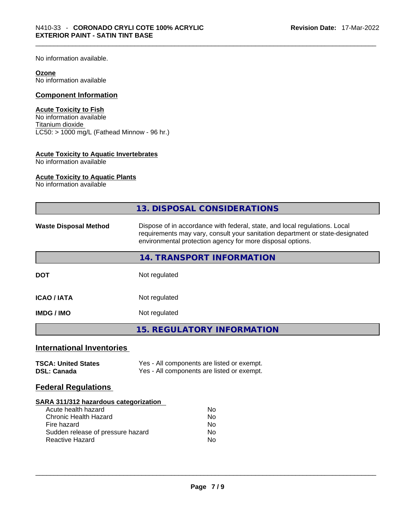No information available.

#### **Ozone**

No information available

## **Component Information**

#### **Acute Toxicity to Fish**

No information available Titanium dioxide  $\overline{\text{LC50:}}$  > 1000 mg/L (Fathead Minnow - 96 hr.)

#### **Acute Toxicity to Aquatic Invertebrates**

No information available

#### **Acute Toxicity to Aquatic Plants**

No information available

|                                                                                                                                                                                   | <b>13. DISPOSAL CONSIDERATIONS</b>                                                                                                                                                                                        |  |  |
|-----------------------------------------------------------------------------------------------------------------------------------------------------------------------------------|---------------------------------------------------------------------------------------------------------------------------------------------------------------------------------------------------------------------------|--|--|
| <b>Waste Disposal Method</b>                                                                                                                                                      | Dispose of in accordance with federal, state, and local regulations. Local<br>requirements may vary, consult your sanitation department or state-designated<br>environmental protection agency for more disposal options. |  |  |
|                                                                                                                                                                                   | 14. TRANSPORT INFORMATION                                                                                                                                                                                                 |  |  |
| <b>DOT</b>                                                                                                                                                                        | Not regulated                                                                                                                                                                                                             |  |  |
| <b>ICAO / IATA</b>                                                                                                                                                                | Not regulated                                                                                                                                                                                                             |  |  |
| <b>IMDG / IMO</b>                                                                                                                                                                 | Not regulated                                                                                                                                                                                                             |  |  |
|                                                                                                                                                                                   | <b>15. REGULATORY INFORMATION</b>                                                                                                                                                                                         |  |  |
| <b>International Inventories</b>                                                                                                                                                  |                                                                                                                                                                                                                           |  |  |
| <b>TSCA: United States</b><br><b>DSL: Canada</b>                                                                                                                                  | Yes - All components are listed or exempt.<br>Yes - All components are listed or exempt.                                                                                                                                  |  |  |
| <b>Federal Regulations</b>                                                                                                                                                        |                                                                                                                                                                                                                           |  |  |
| <b>SARA 311/312 hazardous categorization</b><br>Acute health hazard<br><b>Chronic Health Hazard</b><br>Fire hazard<br>Sudden release of pressure hazard<br><b>Reactive Hazard</b> | No<br>No<br>No.<br><b>No</b><br>No                                                                                                                                                                                        |  |  |
|                                                                                                                                                                                   |                                                                                                                                                                                                                           |  |  |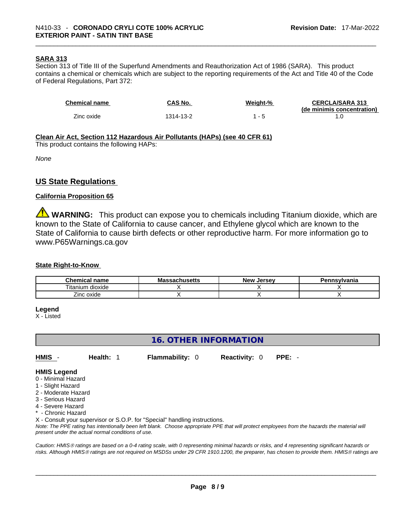#### **SARA 313**

Section 313 of Title III of the Superfund Amendments and Reauthorization Act of 1986 (SARA). This product contains a chemical or chemicals which are subject to the reporting requirements of the Act and Title 40 of the Code of Federal Regulations, Part 372:

| <b>Chemical name</b> | CAS No.   | Weight-% | <b>CERCLA/SARA 313</b><br>(de minimis concentration) |
|----------------------|-----------|----------|------------------------------------------------------|
| Zinc oxide           | 1314-13-2 |          |                                                      |

#### **Clean Air Act,Section 112 Hazardous Air Pollutants (HAPs) (see 40 CFR 61)**

This product contains the following HAPs:

*None*

### **US State Regulations**

#### **California Proposition 65**

**WARNING:** This product can expose you to chemicals including Titanium dioxide, which are known to the State of California to cause cancer, and Ethylene glycol which are known to the State of California to cause birth defects or other reproductive harm. For more information go to www.P65Warnings.ca.gov

#### **State Right-to-Know**

| <b>Chemical</b><br>name                          | лизепз | New<br>. Jersev | 'ennsvlvania |
|--------------------------------------------------|--------|-----------------|--------------|
| $\cdots$<br>$- \cdot$ .<br>litanium<br>ı dioxide |        |                 |              |
| –.<br>∠inc oxide                                 |        |                 |              |

#### **Legend**

X - Listed

# **16. OTHER INFORMATION**

**HMIS** - **Health:** 1 **Flammability:** 0 **Reactivity:** 0 **PPE:** -

#### **HMIS Legend**

- 0 Minimal Hazard
- 1 Slight Hazard
- 2 Moderate Hazard
- 3 Serious Hazard
- 4 Severe Hazard
- \* Chronic Hazard

X - Consult your supervisor or S.O.P. for "Special" handling instructions.

Note: The PPE rating has intentionally been left blank. Choose appropriate PPE that will protect employees from the hazards the material will *present under the actual normal conditions of use.* 

*Caution: HMISÒ ratings are based on a 0-4 rating scale, with 0 representing minimal hazards or risks, and 4 representing significant hazards or risks. Although HMISÒ ratings are not required on MSDSs under 29 CFR 1910.1200, the preparer, has chosen to provide them. HMISÒ ratings are*